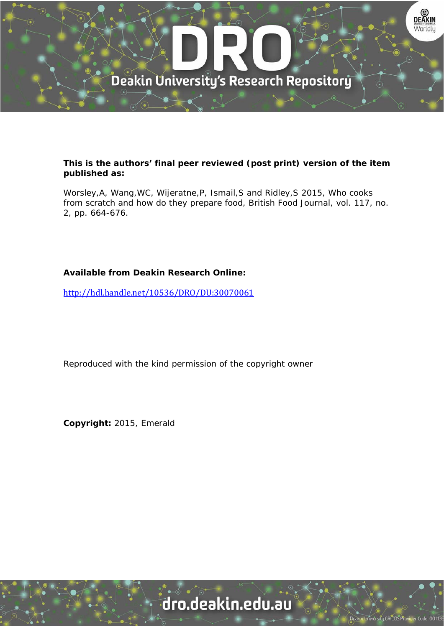

#### **This is the authors' final peer reviewed (post print) version of the item published as:**

Worsley,A, Wang,WC, Wijeratne,P, Ismail,S and Ridley,S 2015, Who cooks from scratch and how do they prepare food, British Food Journal, vol. 117, no. 2, pp. 664-676.

#### **Available from Deakin Research Online:**

http://hdl.handle.net/10536/DRO/DU:30070061

Reproduced with the kind permission of the copyright owner

**Copyright:** 2015, Emerald

## dro.deakin.edu.au

University CRICOS Pro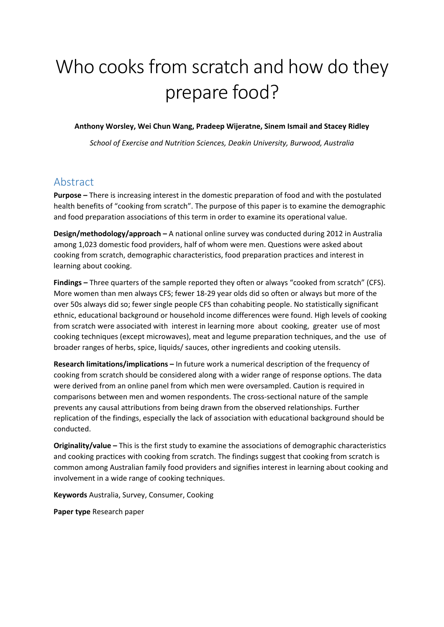# Who cooks from scratch and how do they prepare food?

**Anthony Worsley, Wei Chun Wang, Pradeep Wijeratne, Sinem Ismail and Stacey Ridley**

*School of Exercise and Nutrition Sciences, Deakin University, Burwood, Australia*

## Abstract

**Purpose –** There is increasing interest in the domestic preparation of food and with the postulated health benefits of "cooking from scratch". The purpose of this paper is to examine the demographic and food preparation associations of this term in order to examine its operational value.

**Design/methodology/approach –** A national online survey was conducted during 2012 in Australia among 1,023 domestic food providers, half of whom were men. Questions were asked about cooking from scratch, demographic characteristics, food preparation practices and interest in learning about cooking.

**Findings –** Three quarters of the sample reported they often or always "cooked from scratch" (CFS). More women than men always CFS; fewer 18‐29 year olds did so often or always but more of the over 50s always did so; fewer single people CFS than cohabiting people. No statistically significant ethnic, educational background or household income differences were found. High levels of cooking from scratch were associated with interest in learning more about cooking, greater use of most cooking techniques (except microwaves), meat and legume preparation techniques, and the use of broader ranges of herbs, spice, liquids/ sauces, other ingredients and cooking utensils.

**Research limitations/implications –** In future work a numerical description of the frequency of cooking from scratch should be considered along with a wider range of response options. The data were derived from an online panel from which men were oversampled. Caution is required in comparisons between men and women respondents. The cross‐sectional nature of the sample prevents any causal attributions from being drawn from the observed relationships. Further replication of the findings, especially the lack of association with educational background should be conducted.

**Originality/value –** This is the first study to examine the associations of demographic characteristics and cooking practices with cooking from scratch. The findings suggest that cooking from scratch is common among Australian family food providers and signifies interest in learning about cooking and involvement in a wide range of cooking techniques.

**Keywords** Australia, Survey, Consumer, Cooking

**Paper type** Research paper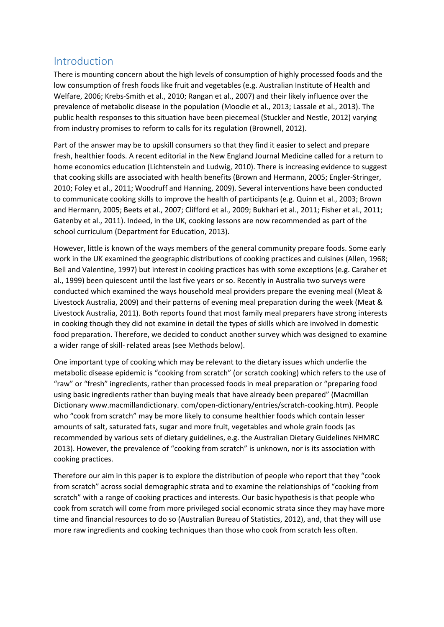## Introduction

There is mounting concern about the high levels of consumption of highly processed foods and the low consumption of fresh foods like fruit and vegetables (e.g. Australian Institute of Health and Welfare, 2006; Krebs‐Smith et al., 2010; Rangan et al., 2007) and their likely influence over the prevalence of metabolic disease in the population (Moodie et al., 2013; Lassale et al., 2013). The public health responses to this situation have been piecemeal (Stuckler and Nestle, 2012) varying from industry promises to reform to calls for its regulation (Brownell, 2012).

Part of the answer may be to upskill consumers so that they find it easier to select and prepare fresh, healthier foods. A recent editorial in the New England Journal Medicine called for a return to home economics education (Lichtenstein and Ludwig, 2010). There is increasing evidence to suggest that cooking skills are associated with health benefits (Brown and Hermann, 2005; Engler‐Stringer, 2010; Foley et al., 2011; Woodruff and Hanning, 2009). Several interventions have been conducted to communicate cooking skills to improve the health of participants (e.g. Quinn et al., 2003; Brown and Hermann, 2005; Beets et al., 2007; Clifford et al., 2009; Bukhari et al., 2011; Fisher et al., 2011; Gatenby et al., 2011). Indeed, in the UK, cooking lessons are now recommended as part of the school curriculum (Department for Education, 2013).

However, little is known of the ways members of the general community prepare foods. Some early work in the UK examined the geographic distributions of cooking practices and cuisines (Allen, 1968; Bell and Valentine, 1997) but interest in cooking practices has with some exceptions (e.g. Caraher et al., 1999) been quiescent until the last five years or so. Recently in Australia two surveys were conducted which examined the ways household meal providers prepare the evening meal (Meat & Livestock Australia, 2009) and their patterns of evening meal preparation during the week (Meat & Livestock Australia, 2011). Both reports found that most family meal preparers have strong interests in cooking though they did not examine in detail the types of skills which are involved in domestic food preparation. Therefore, we decided to conduct another survey which was designed to examine a wider range of skill‐ related areas (see Methods below).

One important type of cooking which may be relevant to the dietary issues which underlie the metabolic disease epidemic is "cooking from scratch" (or scratch cooking) which refers to the use of "raw" or "fresh" ingredients, rather than processed foods in meal preparation or "preparing food using basic ingredients rather than buying meals that have already been prepared" (Macmillan Dictionary www.macmillandictionary. com/open‐dictionary/entries/scratch‐cooking.htm). People who "cook from scratch" may be more likely to consume healthier foods which contain lesser amounts of salt, saturated fats, sugar and more fruit, vegetables and whole grain foods (as recommended by various sets of dietary guidelines, e.g. the Australian Dietary Guidelines NHMRC 2013). However, the prevalence of "cooking from scratch" is unknown, nor is its association with cooking practices.

Therefore our aim in this paper is to explore the distribution of people who report that they "cook from scratch" across social demographic strata and to examine the relationships of "cooking from scratch" with a range of cooking practices and interests. Our basic hypothesis is that people who cook from scratch will come from more privileged social economic strata since they may have more time and financial resources to do so (Australian Bureau of Statistics, 2012), and, that they will use more raw ingredients and cooking techniques than those who cook from scratch less often.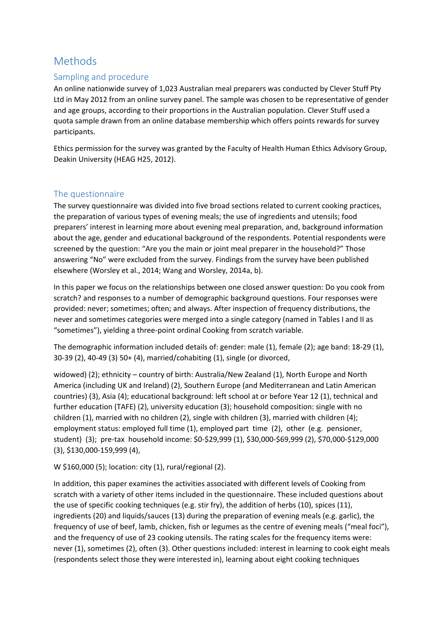## Methods

#### Sampling and procedure

An online nationwide survey of 1,023 Australian meal preparers was conducted by Clever Stuff Pty Ltd in May 2012 from an online survey panel. The sample was chosen to be representative of gender and age groups, according to their proportions in the Australian population. Clever Stuff used a quota sample drawn from an online database membership which offers points rewards for survey participants.

Ethics permission for the survey was granted by the Faculty of Health Human Ethics Advisory Group, Deakin University (HEAG H25, 2012).

#### The questionnaire

The survey questionnaire was divided into five broad sections related to current cooking practices, the preparation of various types of evening meals; the use of ingredients and utensils; food preparers' interest in learning more about evening meal preparation, and, background information about the age, gender and educational background of the respondents. Potential respondents were screened by the question: "Are you the main or joint meal preparer in the household?" Those answering "No" were excluded from the survey. Findings from the survey have been published elsewhere (Worsley et al., 2014; Wang and Worsley, 2014a, b).

In this paper we focus on the relationships between one closed answer question: Do you cook from scratch? and responses to a number of demographic background questions. Four responses were provided: never; sometimes; often; and always. After inspection of frequency distributions, the never and sometimes categories were merged into a single category (named in Tables I and II as "sometimes"), yielding a three‐point ordinal Cooking from scratch variable.

The demographic information included details of: gender: male (1), female (2); age band: 18-29 (1), 30‐39 (2), 40‐49 (3) 50+ (4), married/cohabiting (1), single (or divorced,

widowed) (2); ethnicity – country of birth: Australia/New Zealand (1), North Europe and North America (including UK and Ireland) (2), Southern Europe (and Mediterranean and Latin American countries) (3), Asia (4); educational background: left school at or before Year 12 (1), technical and further education (TAFE) (2), university education (3); household composition: single with no children (1), married with no children (2), single with children (3), married with children (4); employment status: employed full time (1), employed part time (2), other (e.g. pensioner, student) (3); pre‐tax household income: \$0‐\$29,999 (1), \$30,000‐\$69,999 (2), \$70,000‐\$129,000 (3), \$130,000‐159,999 (4),

#### W \$160,000 (5); location: city (1), rural/regional (2).

In addition, this paper examines the activities associated with different levels of Cooking from scratch with a variety of other items included in the questionnaire. These included questions about the use of specific cooking techniques (e.g. stir fry), the addition of herbs (10), spices (11), ingredients (20) and liquids/sauces (13) during the preparation of evening meals (e.g. garlic), the frequency of use of beef, lamb, chicken, fish or legumes as the centre of evening meals ("meal foci"), and the frequency of use of 23 cooking utensils. The rating scales for the frequency items were: never (1), sometimes (2), often (3). Other questions included: interest in learning to cook eight meals (respondents select those they were interested in), learning about eight cooking techniques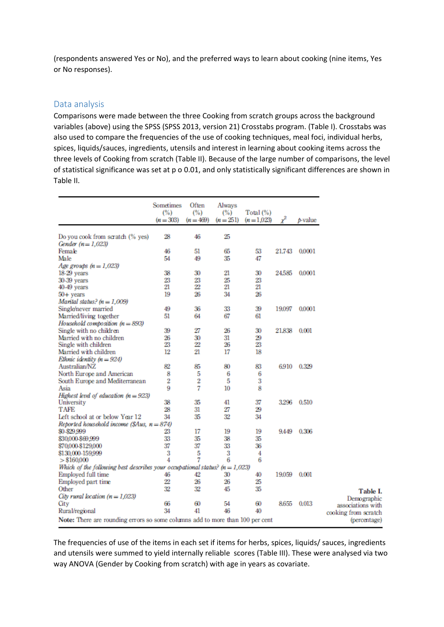(respondents answered Yes or No), and the preferred ways to learn about cooking (nine items, Yes or No responses).

#### Data analysis

Comparisons were made between the three Cooking from scratch groups across the background variables (above) using the SPSS (SPSS 2013, version 21) Crosstabs program. (Table I). Crosstabs was also used to compare the frequencies of the use of cooking techniques, meal foci, individual herbs, spices, liquids/sauces, ingredients, utensils and interest in learning about cooking items across the three levels of Cooking from scratch (Table II). Because of the large number of comparisons, the level of statistical significance was set at p o 0.01, and only statistically significant differences are shown in Table II.

|                                                                                      | Sometimes<br>(%)<br>$(n = 303)$ | Often<br>(%)<br>$(n = 469)$ | Always<br>(%)<br>$(n=251)$ | Total $(\%)$<br>$(n=1.023)$ | χ2     | p-value |
|--------------------------------------------------------------------------------------|---------------------------------|-----------------------------|----------------------------|-----------------------------|--------|---------|
| Do you cook from scratch (% yes)                                                     | 28                              | 46                          | 25                         |                             |        |         |
| Gender $(n=1,023)$                                                                   |                                 |                             |                            |                             |        |         |
| Female                                                                               | 46                              | 51                          | 65                         | 53                          | 21.743 | 0.0001  |
| Male                                                                                 | 54                              | 49                          | 35                         | 47                          |        |         |
| Age groups $(n=1.023)$                                                               |                                 |                             |                            |                             |        |         |
| 18-29 years                                                                          | 38                              | 30                          | 21                         | 30                          | 24.585 | 0.0001  |
| 30-39 years                                                                          | 23                              | 23                          | 25                         | 23                          |        |         |
| $40-49$ years                                                                        | 21                              | $^{22}$                     | 21                         | 21                          |        |         |
| $50 +$ years                                                                         | 19                              | 26                          | 34                         | 26                          |        |         |
| Marital status? $(n = 1,009)$                                                        |                                 |                             |                            |                             |        |         |
| Single/never married                                                                 | 49                              | 36                          | 33                         | 39                          | 19.097 | 0,0001  |
| Married/living together                                                              | 51                              | 64                          | 67                         | 61                          |        |         |
| Household composition $(n = 893)$                                                    |                                 |                             |                            |                             |        |         |
| Single with no children                                                              | 39                              | 27                          | 26                         | 30                          | 21.838 | 0.001   |
| Married with no children                                                             | 26                              | 30                          | 31                         | 29                          |        |         |
| Single with children                                                                 | 23                              | 22                          | 26                         | 23                          |        |         |
| Married with children                                                                | 12                              | 21                          | 17                         | 18                          |        |         |
| Ethnic identity $(n = 924)$                                                          |                                 |                             |                            |                             |        |         |
| Australian/NZ                                                                        | 82                              | 85                          | 80                         | 83                          | 6.910  | 0.329   |
|                                                                                      |                                 |                             |                            |                             |        |         |
| North Europe and American                                                            | 8                               | 5                           | 6                          | 6                           |        |         |
| South Europe and Mediterranean                                                       | 2                               | 2                           | 5                          | 3                           |        |         |
| Asia                                                                                 | 9                               | 7                           | 10                         | 8                           |        |         |
| Highest level of education $(n = 923)$                                               |                                 |                             |                            |                             |        |         |
| University                                                                           | 38                              | 35                          | 41                         | 37                          | 3.296  | 0.510   |
| <b>TAFE</b>                                                                          | 28                              | 31                          | 27                         | 29                          |        |         |
| Left school at or below Year 12                                                      | 34                              | 35                          | 32                         | 34                          |        |         |
| Reported household income (\$Aus, $n = 874$ )                                        |                                 |                             |                            |                             |        |         |
| \$0-\$29,999                                                                         | 23                              | 17                          | 19                         | 19                          | 9.449  | 0.306   |
| \$30,000 \$69,999                                                                    | 33                              | 35                          | 38                         | 35                          |        |         |
| \$70,000 \$129,000                                                                   | 37                              | 37                          | 33                         | 36                          |        |         |
| \$130,000-159,999                                                                    | 3                               | 5                           | 3                          | 4                           |        |         |
| > \$160,000                                                                          | 4                               | 7                           | 6                          | 6                           |        |         |
| Which of the following best describes your occupational status? ( $n = 1,023$ )      |                                 |                             |                            |                             |        |         |
| Employed full time                                                                   | 46                              | 42                          | 30                         | 40                          | 19.059 | 0.001   |
| Employed part time                                                                   | $\overline{22}$                 | 26                          | 26                         | 25                          |        |         |
| Other                                                                                | 32                              | 32                          | 45                         | 35                          |        |         |
| City rural location $(n = 1,023)$                                                    |                                 |                             |                            |                             |        |         |
| City                                                                                 | 66                              | 60                          | 54                         | 60                          | 8.655  | 0.013   |
| Rural/regional                                                                       | 34                              | 41                          | 46                         | 40                          |        |         |
| <b>Note:</b> There are rounding errors so some columns add to more than 100 per cent |                                 |                             |                            |                             |        |         |

The frequencies of use of the items in each set if items for herbs, spices, liquids/ sauces, ingredients and utensils were summed to yield internally reliable scores (Table III). These were analysed via two way ANOVA (Gender by Cooking from scratch) with age in years as covariate.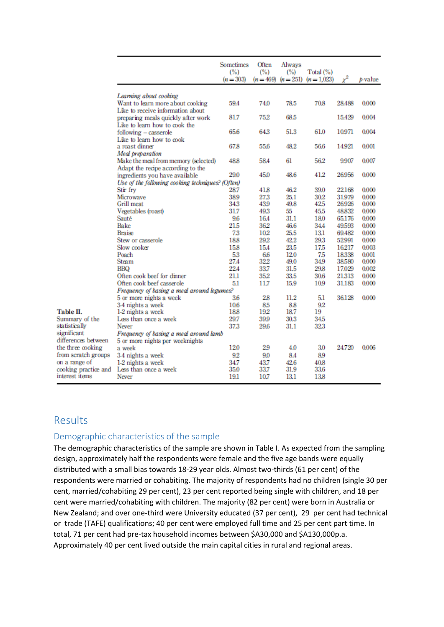|                              |                                                  | <b>Sometimes</b><br>(%)<br>$(n = 303)$ | Often<br>(%)<br>$(n = 469)$ | Always<br>(%)<br>$(n=251)$ | Total (%)<br>$(n=1,023)$ | $\chi^2$        | $b-value$      |
|------------------------------|--------------------------------------------------|----------------------------------------|-----------------------------|----------------------------|--------------------------|-----------------|----------------|
|                              | Learning about cooking                           |                                        |                             |                            |                          |                 |                |
|                              | Want to learn more about cooking                 | 59.4                                   | 74.0                        | 78.5                       | 70.8                     | 28.488          | 0.000          |
|                              | Like to receive information about                |                                        |                             |                            |                          |                 |                |
|                              | preparing meals quickly after work               | 81.7                                   | 75.2                        | 68.5                       |                          | 15.429          | 0.004          |
|                              | Like to learn how to cook the                    |                                        |                             |                            |                          |                 |                |
|                              | following - casserole                            | 65.6                                   | 64.3                        | 51.3                       | 61.0                     | 10.971          | 0.004          |
|                              | Like to learn how to cook                        |                                        |                             |                            |                          |                 |                |
|                              | a roast dinner                                   | 67.8                                   | 55.6                        | 48.2                       | 56.6                     | 14.921          | 0.001          |
|                              | Meal preparation                                 |                                        |                             |                            |                          |                 |                |
|                              | Make the meal from memory (selected)             | 48.8                                   | 58.4                        | 61                         | 562                      | 9.907           | 0.007          |
|                              | Adapt the recipe according to the                |                                        |                             |                            |                          |                 |                |
|                              | ingredients you have available                   | 29.0                                   | 45.0                        | 48.6                       | 41.2                     | 26.956          | 0.000          |
|                              | Use of the following cooking techniques? (Often) |                                        |                             |                            |                          |                 |                |
|                              | Stir frv                                         | 28.7                                   | 41.8                        | 46.2                       | 39.0                     | 22168           | 0.000          |
|                              | Microwave                                        | 38.9                                   | 273                         | 25.1                       | 30.2                     | 31.979          | 0.000          |
|                              | Grill meat                                       | 343                                    | 43.9                        | 49.8                       | 42.5                     | 26.926          | 0.000          |
|                              | Vegetables (roast)                               | 31.7                                   | 49.3                        | 55                         | 45.5                     | 48.832          | 0.000          |
|                              | Sauté                                            | 96                                     | 16.4                        | 31.1                       | 18.0                     | 65.176          | 0.000          |
|                              | Bake                                             | 21.5                                   | 36.2                        | 46.6                       | 34.4                     | 49.593          | 0.000          |
|                              | Braise                                           | 73                                     | 102                         | 25.5                       | 131                      | 69.482          | 0.000          |
|                              | Stew or casserole                                | 18.8                                   | 29.2                        | 42.2                       | 29.3                     | 52.991          | 0.000          |
|                              | Slow cooker                                      | 15.8                                   | 15.4                        | 23.5                       |                          | 16217           | 0.003          |
|                              | Poach                                            |                                        |                             |                            | 17.5                     |                 |                |
|                              | Steam                                            | 5.3<br>27.4                            | 66<br>322                   | 12.0<br>49.0               | 75<br>34.9               | 18338<br>38.580 | 0.001<br>0.000 |
|                              | BBO                                              | 22.4                                   | 33.7                        | 31.5                       | 29.8                     | 17.029          | 0.002          |
|                              | Often cook beef for dinner                       | 21.1                                   | 35.2                        | 33.5                       | 30.6                     | 21.313          | 0.000          |
|                              |                                                  | 5.1                                    | 11.7                        | 15.9                       |                          |                 |                |
|                              | Often cook beef casserole                        |                                        |                             |                            | 10.9                     | 31.183          | 0.000          |
|                              | Frequency of basing a meal around legumes?       |                                        |                             |                            |                          |                 |                |
|                              | 5 or more nights a week                          | 36                                     | 28                          | 11.2                       | 5.1                      | 36.128          | 0.000          |
| Table II.                    | 3-4 nights a week                                | 10.6<br>18.8                           | 85<br>192                   | 8.8<br>18.7                | 92<br>19                 |                 |                |
|                              | 1-2 nights a week                                | 29.7                                   | 39.9                        |                            | 34.5                     |                 |                |
| Summary of the               | Less than once a week                            |                                        |                             | 30.3                       |                          |                 |                |
| statistically<br>significant | Never                                            | 373                                    | 29.6                        | 31.1                       | 323                      |                 |                |
|                              | Frequency of basing a meal around lamb           |                                        |                             |                            |                          |                 |                |
| differences between          | 5 or more nights per weeknights                  | 12.0                                   | 29                          | 4.0                        | 3.0                      | 24.720          | 0.006          |
| the three cooking            | a week                                           |                                        |                             |                            |                          |                 |                |
| from scratch groups          | 3-4 nights a week                                | 92                                     | 9.0                         | 8.4                        | 89                       |                 |                |
| on a range of                | 1-2 nights a week                                | 34.7                                   | 43.7                        | 42.6                       | 40.8                     |                 |                |
| cooking practice and         | Less than once a week                            | 35.0                                   | 33.7                        | 31.9                       | 33.6                     |                 |                |
| interest items               | Never                                            | 19.1                                   | 10.7                        | 13.1                       | 13.8                     |                 |                |

## Results

#### Demographic characteristics of the sample

The demographic characteristics of the sample are shown in Table I. As expected from the sampling design, approximately half the respondents were female and the five age bands were equally distributed with a small bias towards 18‐29 year olds. Almost two‐thirds (61 per cent) of the respondents were married or cohabiting. The majority of respondents had no children (single 30 per cent, married/cohabiting 29 per cent), 23 per cent reported being single with children, and 18 per cent were married/cohabiting with children. The majority (82 per cent) were born in Australia or New Zealand; and over one‐third were University educated (37 per cent), 29 per cent had technical or trade (TAFE) qualifications; 40 per cent were employed full time and 25 per cent part time. In total, 71 per cent had pre‐tax household incomes between \$A30,000 and \$A130,000p.a. Approximately 40 per cent lived outside the main capital cities in rural and regional areas.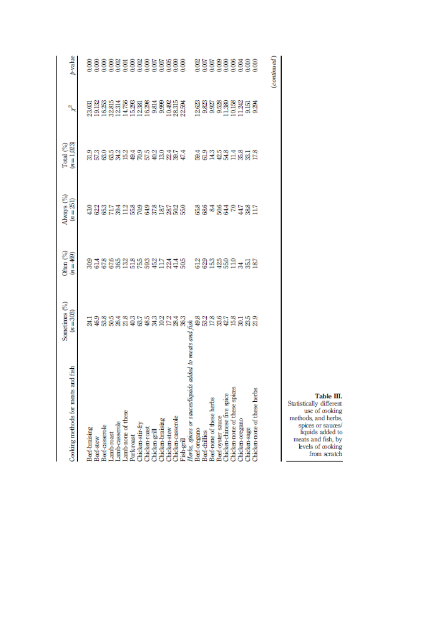| and fish<br>Cooking methods for meats                  | Sometimes (%)<br>$(n = 303)$         | Often (%)<br>$(\Re\theta) = \pi$ | Always $\binom{9/}{6}$ $(n=251)$                     | $Total (%)(n=1,023)$                                                                             | X                                                                | p-value     |
|--------------------------------------------------------|--------------------------------------|----------------------------------|------------------------------------------------------|--------------------------------------------------------------------------------------------------|------------------------------------------------------------------|-------------|
|                                                        |                                      |                                  |                                                      |                                                                                                  |                                                                  |             |
| Beef-braising                                          |                                      |                                  |                                                      |                                                                                                  |                                                                  | 8           |
| Beef-stew                                              |                                      |                                  |                                                      |                                                                                                  |                                                                  |             |
| Beef-casserole                                         |                                      |                                  |                                                      |                                                                                                  |                                                                  |             |
| Lamb-roast                                             |                                      |                                  |                                                      |                                                                                                  |                                                                  |             |
|                                                        |                                      |                                  |                                                      |                                                                                                  |                                                                  |             |
| Lamb-casserole<br>Lamb-none of these                   |                                      |                                  |                                                      |                                                                                                  |                                                                  |             |
| Pork-roast                                             |                                      |                                  |                                                      |                                                                                                  |                                                                  |             |
| Chicken-stir-fry                                       |                                      |                                  |                                                      |                                                                                                  |                                                                  |             |
| Chicken-roast                                          |                                      |                                  |                                                      |                                                                                                  |                                                                  |             |
| Chicken-grill<br>Chicken-braising                      |                                      |                                  |                                                      |                                                                                                  |                                                                  |             |
|                                                        |                                      |                                  |                                                      |                                                                                                  |                                                                  |             |
|                                                        |                                      |                                  |                                                      |                                                                                                  |                                                                  |             |
| Chicken-stew<br>Chicken-casserole                      |                                      |                                  |                                                      |                                                                                                  |                                                                  |             |
| Fish-grill                                             | 13 4 6 5 8 5 4 4 6 5 4 3 5 5 5 8 8 7 |                                  | 3335733839855333 3349405857<br>335573166358366 33465 | 일 3 명명 3 정 3 명명 3 명령 3 정 2 국 국 정 3 명명 국 3 명<br>일 2 명 3 명 3 명 3 명 3 명 3 명 2 명 9 명 3 명 3 명 3 명 3 명 | 명합해법 부정 원행 및 명령 가<br>요금 정보 부정 원행 및 명령 가능<br>요금 정보 국도 등 및 명령 기정 정 |             |
| Herbs, spices or sauceshiquids added to meats and fish |                                      |                                  |                                                      |                                                                                                  |                                                                  |             |
| Beef-oregano                                           |                                      |                                  |                                                      |                                                                                                  |                                                                  |             |
| Beef-chillies                                          |                                      |                                  |                                                      |                                                                                                  |                                                                  |             |
| Beef-none of these herbs                               | 82<br>825                            |                                  |                                                      |                                                                                                  | ន្ទន្ទន្ទន្ទន្ទន្ទង្ទន្ទន្ទ<br>ភ្នំទំនួនន្ទន្ទង្ទង្ទន្ទន្ទ       |             |
|                                                        |                                      |                                  |                                                      |                                                                                                  |                                                                  |             |
| Beef-oyster sauce<br>Chicken-chinese five spice        | 337                                  |                                  |                                                      |                                                                                                  |                                                                  |             |
| Chicken-none of these spices                           |                                      |                                  |                                                      |                                                                                                  |                                                                  |             |
| Chicken-oregano                                        | <b>3333</b><br>អនិន្ទន               |                                  |                                                      |                                                                                                  |                                                                  |             |
| Chicken-sage                                           |                                      |                                  |                                                      |                                                                                                  |                                                                  |             |
| Chicken-none of these herbs                            |                                      |                                  |                                                      |                                                                                                  |                                                                  |             |
|                                                        |                                      |                                  |                                                      |                                                                                                  |                                                                  | (continued) |

Table III.<br>
Statistically different<br>
use of cooking<br>
methods, and herbs,<br>
spices or sauces/<br>
liquids added to<br>
meats and fish, by<br>
levels of cooking<br>
from scratch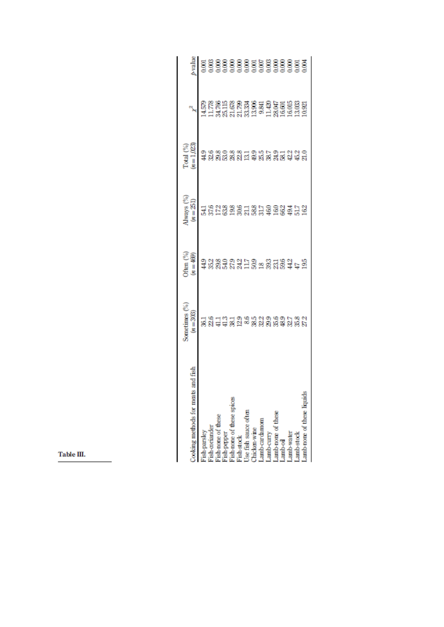| and fist<br>boking methods for meats                                                                                                                                                                      | Sometimes $\binom{96}{n}$                          | Often $\binom{96}{n}$<br>( $n = 469$ )    | $\begin{array}{c}\n\text{Iways} \; (%)\\ \n(n = 251)\n\end{array}$ | $Total (%)(n=1,023)$                                                   |                              | <b>Alux</b>                   |
|-----------------------------------------------------------------------------------------------------------------------------------------------------------------------------------------------------------|----------------------------------------------------|-------------------------------------------|--------------------------------------------------------------------|------------------------------------------------------------------------|------------------------------|-------------------------------|
|                                                                                                                                                                                                           |                                                    |                                           |                                                                    |                                                                        | 的标准的数据的 计发动时间的 计计算设立 计算法的计算机 | 5 3 3 3 3 3 3 3 3 3 3 3 3 3 3 |
| Fish-parsley<br>Fish-coriander                                                                                                                                                                            |                                                    |                                           |                                                                    |                                                                        |                              |                               |
|                                                                                                                                                                                                           |                                                    |                                           |                                                                    |                                                                        |                              |                               |
|                                                                                                                                                                                                           |                                                    |                                           |                                                                    |                                                                        |                              |                               |
| Fish-none of these<br>Fish-paper<br>Fish-none of these spices<br>Fish-stock<br>Chicken-wine<br>Chicken-wine<br>Lamb-curry<br>Lamb-none of these<br>Lamb-none of these<br>Lamb-none of these<br>Lamb-water | 1921년 1923년 1932년 1932년<br>1923년 1932년 1932년 1932년 | ទី១៥១១១។ ដឹង ១១១៥១១ ។<br>ទី១១៥១១១១១១១១៥១១ | <u>다</u> 8 인생영영 1 영문 영문 영영 후 1 일<br>각 8 기업 정 일 일 일 정 1 영문 정 1 일 정  | 3 3 3 3 3 3 4 5 9 5 9 5 9 5 9 5 6 5<br>3 8 8 9 8 9 5 9 5 9 5 9 5 9 5 9 |                              |                               |
|                                                                                                                                                                                                           |                                                    |                                           |                                                                    |                                                                        |                              |                               |
|                                                                                                                                                                                                           |                                                    |                                           |                                                                    |                                                                        |                              |                               |
|                                                                                                                                                                                                           |                                                    |                                           |                                                                    |                                                                        |                              |                               |
|                                                                                                                                                                                                           |                                                    |                                           |                                                                    |                                                                        |                              |                               |
|                                                                                                                                                                                                           |                                                    |                                           |                                                                    |                                                                        |                              |                               |
|                                                                                                                                                                                                           |                                                    |                                           |                                                                    |                                                                        |                              |                               |
|                                                                                                                                                                                                           |                                                    |                                           |                                                                    |                                                                        |                              |                               |
|                                                                                                                                                                                                           |                                                    |                                           |                                                                    |                                                                        |                              |                               |
|                                                                                                                                                                                                           |                                                    |                                           |                                                                    |                                                                        |                              |                               |
| amb-none of these liquids.                                                                                                                                                                                |                                                    |                                           |                                                                    |                                                                        |                              |                               |
|                                                                                                                                                                                                           |                                                    |                                           |                                                                    |                                                                        |                              |                               |

Table III.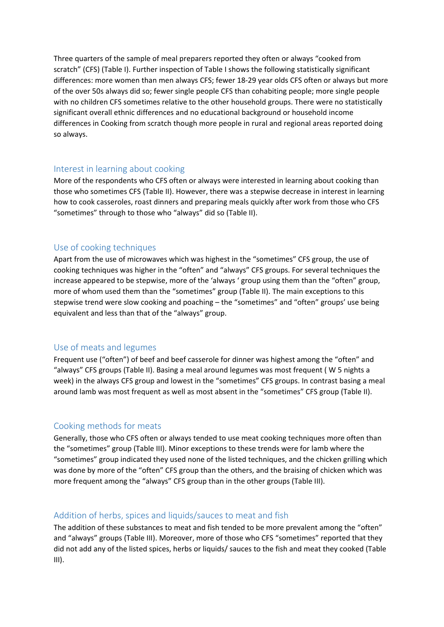Three quarters of the sample of meal preparers reported they often or always "cooked from scratch" (CFS) (Table I). Further inspection of Table I shows the following statistically significant differences: more women than men always CFS; fewer 18‐29 year olds CFS often or always but more of the over 50s always did so; fewer single people CFS than cohabiting people; more single people with no children CFS sometimes relative to the other household groups. There were no statistically significant overall ethnic differences and no educational background or household income differences in Cooking from scratch though more people in rural and regional areas reported doing so always.

#### Interest in learning about cooking

More of the respondents who CFS often or always were interested in learning about cooking than those who sometimes CFS (Table II). However, there was a stepwise decrease in interest in learning how to cook casseroles, roast dinners and preparing meals quickly after work from those who CFS "sometimes" through to those who "always" did so (Table II).

#### Use of cooking techniques

Apart from the use of microwaves which was highest in the "sometimes" CFS group, the use of cooking techniques was higher in the "often" and "always" CFS groups. For several techniques the increase appeared to be stepwise, more of the 'always ' group using them than the "often" group, more of whom used them than the "sometimes" group (Table II). The main exceptions to this stepwise trend were slow cooking and poaching – the "sometimes" and "often" groups' use being equivalent and less than that of the "always" group.

#### Use of meats and legumes

Frequent use ("often") of beef and beef casserole for dinner was highest among the "often" and "always" CFS groups (Table II). Basing a meal around legumes was most frequent ( W 5 nights a week) in the always CFS group and lowest in the "sometimes" CFS groups. In contrast basing a meal around lamb was most frequent as well as most absent in the "sometimes" CFS group (Table II).

#### Cooking methods for meats

Generally, those who CFS often or always tended to use meat cooking techniques more often than the "sometimes" group (Table III). Minor exceptions to these trends were for lamb where the "sometimes" group indicated they used none of the listed techniques, and the chicken grilling which was done by more of the "often" CFS group than the others, and the braising of chicken which was more frequent among the "always" CFS group than in the other groups (Table III).

#### Addition of herbs, spices and liquids/sauces to meat and fish

The addition of these substances to meat and fish tended to be more prevalent among the "often" and "always" groups (Table III). Moreover, more of those who CFS "sometimes" reported that they did not add any of the listed spices, herbs or liquids/ sauces to the fish and meat they cooked (Table III).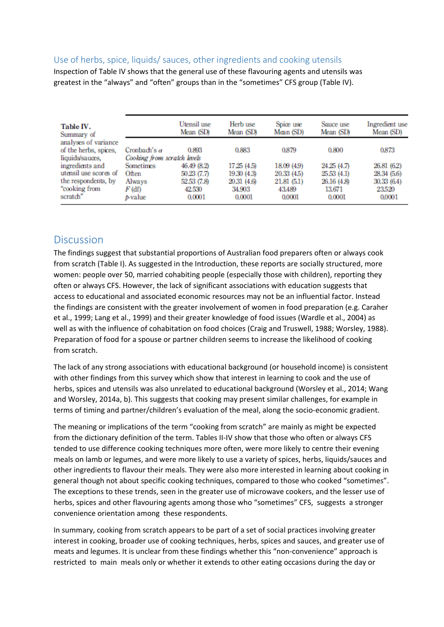#### Use of herbs, spice, liquids/ sauces, other ingredients and cooking utensils

Inspection of Table IV shows that the general use of these flavouring agents and utensils was greatest in the "always" and "often" groups than in the "sometimes" CFS group (Table IV).

| Table IV.<br>Summary of                                          |                                                    | Utensil use<br>Mean (SD)   | Herb use<br>Mean (SD)      | Spice use<br>Mean (SD)          | Sauce use<br>Mean (SD)     | Ingredient use<br>Mean (SD) |
|------------------------------------------------------------------|----------------------------------------------------|----------------------------|----------------------------|---------------------------------|----------------------------|-----------------------------|
| analyses of variance<br>of the herbs, spices,<br>liquids/sauces, | Cronbach's $\alpha$<br>Cooking from scratch levels | 0.893                      | 0.883                      | 0.879                           | 0.800                      | 0.873                       |
| ingredients and                                                  | Sometimes                                          | 46.49 (8.2)                | 17.25 (4.5)                | 18.09 (4.9)                     | 24.25 (4.7)                | 26.81 (6.2)                 |
| utensil use scores of<br>the respondents, by                     | Often                                              | 50.23 (7.7)<br>52.53 (7.8) | 19.30 (4.3)<br>20.31 (4.6) | 20.33 (4.5)                     | 25.53 (4.1)<br>26.16 (4.8) | 28.34 (5.6)<br>30.33(6.4)   |
| "cooking from<br>scratch"                                        | Always<br>F (df)<br>p-value                        | 42.530<br>0.0001           | 34.903<br>0.0001           | 21.81 (5.1)<br>43.489<br>0.0001 | 13.671<br>0.0001           | 23.520<br>0.0001            |

### **Discussion**

The findings suggest that substantial proportions of Australian food preparers often or always cook from scratch (Table I). As suggested in the Introduction, these reports are socially structured, more women: people over 50, married cohabiting people (especially those with children), reporting they often or always CFS. However, the lack of significant associations with education suggests that access to educational and associated economic resources may not be an influential factor. Instead the findings are consistent with the greater involvement of women in food preparation (e.g. Caraher et al., 1999; Lang et al., 1999) and their greater knowledge of food issues (Wardle et al., 2004) as well as with the influence of cohabitation on food choices (Craig and Truswell, 1988; Worsley, 1988). Preparation of food for a spouse or partner children seems to increase the likelihood of cooking from scratch.

The lack of any strong associations with educational background (or household income) is consistent with other findings from this survey which show that interest in learning to cook and the use of herbs, spices and utensils was also unrelated to educational background (Worsley et al., 2014; Wang and Worsley, 2014a, b). This suggests that cooking may present similar challenges, for example in terms of timing and partner/children's evaluation of the meal, along the socio-economic gradient.

The meaning or implications of the term "cooking from scratch" are mainly as might be expected from the dictionary definition of the term. Tables II‐IV show that those who often or always CFS tended to use difference cooking techniques more often, were more likely to centre their evening meals on lamb or legumes, and were more likely to use a variety of spices, herbs, liquids/sauces and other ingredients to flavour their meals. They were also more interested in learning about cooking in general though not about specific cooking techniques, compared to those who cooked "sometimes". The exceptions to these trends, seen in the greater use of microwave cookers, and the lesser use of herbs, spices and other flavouring agents among those who "sometimes" CFS, suggests a stronger convenience orientation among these respondents.

In summary, cooking from scratch appears to be part of a set of social practices involving greater interest in cooking, broader use of cooking techniques, herbs, spices and sauces, and greater use of meats and legumes. It is unclear from these findings whether this "non-convenience" approach is restricted to main meals only or whether it extends to other eating occasions during the day or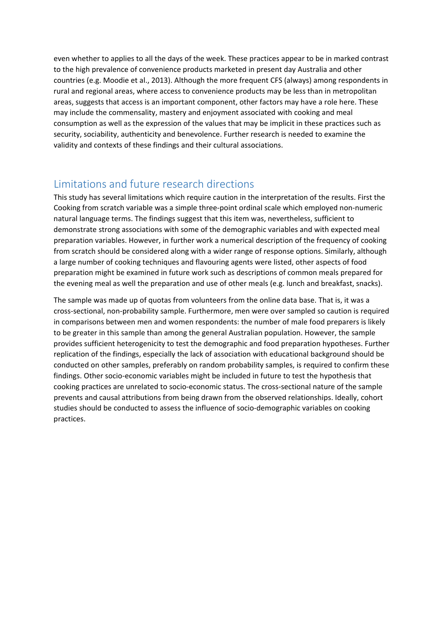even whether to applies to all the days of the week. These practices appear to be in marked contrast to the high prevalence of convenience products marketed in present day Australia and other countries (e.g. Moodie et al., 2013). Although the more frequent CFS (always) among respondents in rural and regional areas, where access to convenience products may be less than in metropolitan areas, suggests that access is an important component, other factors may have a role here. These may include the commensality, mastery and enjoyment associated with cooking and meal consumption as well as the expression of the values that may be implicit in these practices such as security, sociability, authenticity and benevolence. Further research is needed to examine the validity and contexts of these findings and their cultural associations.

## Limitations and future research directions

This study has several limitations which require caution in the interpretation of the results. First the Cooking from scratch variable was a simple three‐point ordinal scale which employed non‐numeric natural language terms. The findings suggest that this item was, nevertheless, sufficient to demonstrate strong associations with some of the demographic variables and with expected meal preparation variables. However, in further work a numerical description of the frequency of cooking from scratch should be considered along with a wider range of response options. Similarly, although a large number of cooking techniques and flavouring agents were listed, other aspects of food preparation might be examined in future work such as descriptions of common meals prepared for the evening meal as well the preparation and use of other meals (e.g. lunch and breakfast, snacks).

The sample was made up of quotas from volunteers from the online data base. That is, it was a cross‐sectional, non‐probability sample. Furthermore, men were over sampled so caution is required in comparisons between men and women respondents: the number of male food preparers is likely to be greater in this sample than among the general Australian population. However, the sample provides sufficient heterogenicity to test the demographic and food preparation hypotheses. Further replication of the findings, especially the lack of association with educational background should be conducted on other samples, preferably on random probability samples, is required to confirm these findings. Other socio-economic variables might be included in future to test the hypothesis that cooking practices are unrelated to socio‐economic status. The cross‐sectional nature of the sample prevents and causal attributions from being drawn from the observed relationships. Ideally, cohort studies should be conducted to assess the influence of socio‐demographic variables on cooking practices.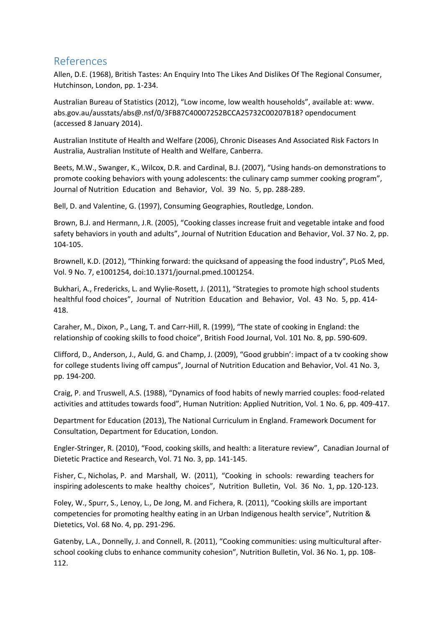## References

Allen, D.E. (1968), British Tastes: An Enquiry Into The Likes And Dislikes Of The Regional Consumer, Hutchinson, London, pp. 1‐234.

Australian Bureau of Statistics (2012), "Low income, low wealth households", available at: www. abs.gov.au/ausstats/abs@.nsf/0/3FB87C40007252BCCA25732C00207B18? opendocument (accessed 8 January 2014).

Australian Institute of Health and Welfare (2006), Chronic Diseases And Associated Risk Factors In Australia, Australian Institute of Health and Welfare, Canberra.

Beets, M.W., Swanger, K., Wilcox, D.R. and Cardinal, B.J. (2007), "Using hands‐on demonstrations to promote cooking behaviors with young adolescents: the culinary camp summer cooking program", Journal of Nutrition Education and Behavior, Vol. 39 No. 5, pp. 288‐289.

Bell, D. and Valentine, G. (1997), Consuming Geographies, Routledge, London.

Brown, B.J. and Hermann, J.R. (2005), "Cooking classes increase fruit and vegetable intake and food safety behaviors in youth and adults", Journal of Nutrition Education and Behavior, Vol. 37 No. 2, pp. 104‐105.

Brownell, K.D. (2012), "Thinking forward: the quicksand of appeasing the food industry", PLoS Med, Vol. 9 No. 7, e1001254, doi:10.1371/journal.pmed.1001254.

Bukhari, A., Fredericks, L. and Wylie‐Rosett, J. (2011), "Strategies to promote high school students healthful food choices", Journal of Nutrition Education and Behavior, Vol. 43 No. 5, pp. 414-418.

Caraher, M., Dixon, P., Lang, T. and Carr‐Hill, R. (1999), "The state of cooking in England: the relationship of cooking skills to food choice", British Food Journal, Vol. 101 No. 8, pp. 590‐609.

Clifford, D., Anderson, J., Auld, G. and Champ, J. (2009), "Good grubbin': impact of a tv cooking show for college students living off campus", Journal of Nutrition Education and Behavior, Vol. 41 No. 3, pp. 194‐200.

Craig, P. and Truswell, A.S. (1988), "Dynamics of food habits of newly married couples: food‐related activities and attitudes towards food", Human Nutrition: Applied Nutrition, Vol. 1 No. 6, pp. 409‐417.

Department for Education (2013), The National Curriculum in England. Framework Document for Consultation, Department for Education, London.

Engler‐Stringer, R. (2010), "Food, cooking skills, and health: a literature review", Canadian Journal of Dietetic Practice and Research, Vol. 71 No. 3, pp. 141‐145.

Fisher, C., Nicholas, P. and Marshall, W. (2011), "Cooking in schools: rewarding teachers for inspiring adolescents to make healthy choices", Nutrition Bulletin, Vol. 36 No. 1, pp. 120‐123.

Foley, W., Spurr, S., Lenoy, L., De Jong, M. and Fichera, R. (2011), "Cooking skills are important competencies for promoting healthy eating in an Urban Indigenous health service", Nutrition & Dietetics, Vol. 68 No. 4, pp. 291‐296.

Gatenby, L.A., Donnelly, J. and Connell, R. (2011), "Cooking communities: using multicultural after‐ school cooking clubs to enhance community cohesion", Nutrition Bulletin, Vol. 36 No. 1, pp. 108‐ 112.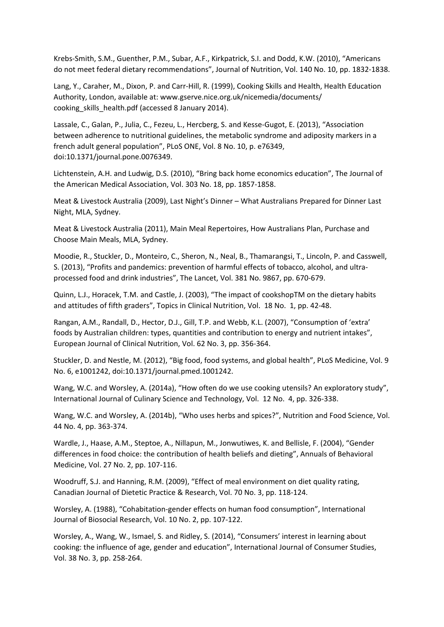Krebs‐Smith, S.M., Guenther, P.M., Subar, A.F., Kirkpatrick, S.I. and Dodd, K.W. (2010), "Americans do not meet federal dietary recommendations", Journal of Nutrition, Vol. 140 No. 10, pp. 1832-1838.

Lang, Y., Caraher, M., Dixon, P. and Carr-Hill, R. (1999), Cooking Skills and Health, Health Education Authority, London, available at: www.gserve.nice.org.uk/nicemedia/documents/ cooking\_skills\_health.pdf (accessed 8 January 2014).

Lassale, C., Galan, P., Julia, C., Fezeu, L., Hercberg, S. and Kesse‐Gugot, E. (2013), "Association between adherence to nutritional guidelines, the metabolic syndrome and adiposity markers in a french adult general population", PLoS ONE, Vol. 8 No. 10, p. e76349, doi:10.1371/journal.pone.0076349.

Lichtenstein, A.H. and Ludwig, D.S. (2010), "Bring back home economics education", The Journal of the American Medical Association, Vol. 303 No. 18, pp. 1857‐1858.

Meat & Livestock Australia (2009), Last Night's Dinner – What Australians Prepared for Dinner Last Night, MLA, Sydney.

Meat & Livestock Australia (2011), Main Meal Repertoires, How Australians Plan, Purchase and Choose Main Meals, MLA, Sydney.

Moodie, R., Stuckler, D., Monteiro, C., Sheron, N., Neal, B., Thamarangsi, T., Lincoln, P. and Casswell, S. (2013), "Profits and pandemics: prevention of harmful effects of tobacco, alcohol, and ultra‐ processed food and drink industries", The Lancet, Vol. 381 No. 9867, pp. 670‐679.

Quinn, L.J., Horacek, T.M. and Castle, J. (2003), "The impact of cookshopTM on the dietary habits and attitudes of fifth graders", Topics in Clinical Nutrition, Vol. 18 No. 1, pp. 42‐48.

Rangan, A.M., Randall, D., Hector, D.J., Gill, T.P. and Webb, K.L. (2007), "Consumption of 'extra' foods by Australian children: types, quantities and contribution to energy and nutrient intakes", European Journal of Clinical Nutrition, Vol. 62 No. 3, pp. 356‐364.

Stuckler, D. and Nestle, M. (2012), "Big food, food systems, and global health", PLoS Medicine, Vol. 9 No. 6, e1001242, doi:10.1371/journal.pmed.1001242.

Wang, W.C. and Worsley, A. (2014a), "How often do we use cooking utensils? An exploratory study", International Journal of Culinary Science and Technology, Vol. 12 No. 4, pp. 326‐338.

Wang, W.C. and Worsley, A. (2014b), "Who uses herbs and spices?", Nutrition and Food Science, Vol. 44 No. 4, pp. 363‐374.

Wardle, J., Haase, A.M., Steptoe, A., Nillapun, M., Jonwutiwes, K. and Bellisle, F. (2004), "Gender differences in food choice: the contribution of health beliefs and dieting", Annuals of Behavioral Medicine, Vol. 27 No. 2, pp. 107‐116.

Woodruff, S.J. and Hanning, R.M. (2009), "Effect of meal environment on diet quality rating, Canadian Journal of Dietetic Practice & Research, Vol. 70 No. 3, pp. 118‐124.

Worsley, A. (1988), "Cohabitation‐gender effects on human food consumption", International Journal of Biosocial Research, Vol. 10 No. 2, pp. 107‐122.

Worsley, A., Wang, W., Ismael, S. and Ridley, S. (2014), "Consumers' interest in learning about cooking: the influence of age, gender and education", International Journal of Consumer Studies, Vol. 38 No. 3, pp. 258‐264.